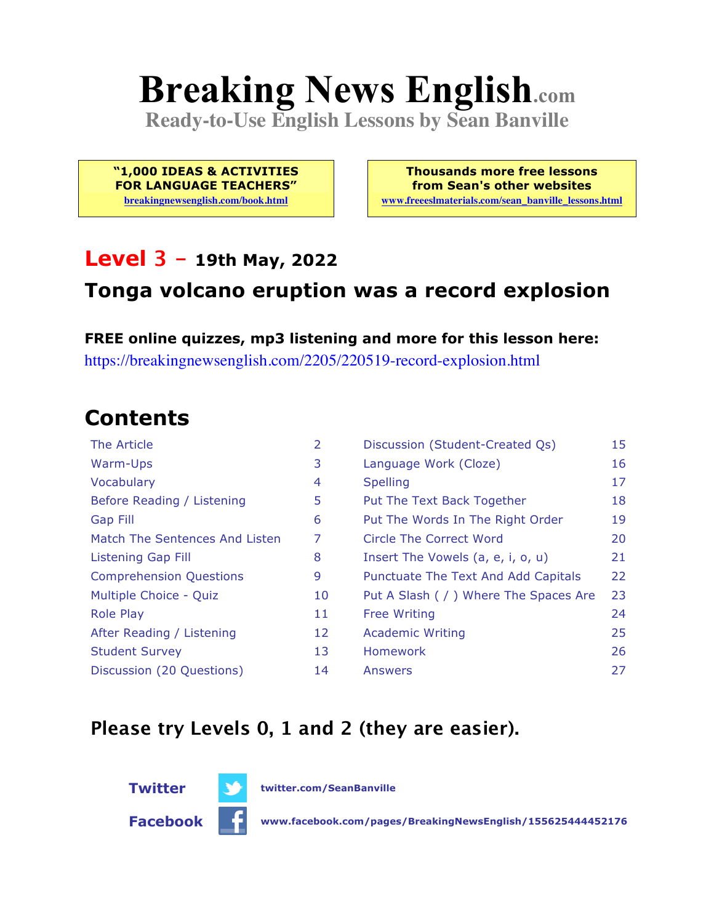# **Breaking News English.com**

**Ready-to-Use English Lessons by Sean Banville**

**"1,000 IDEAS & ACTIVITIES FOR LANGUAGE TEACHERS"**

**breakingnewsenglish.com/book.html**

**Thousands more free lessons from Sean's other websites www.freeeslmaterials.com/sean\_banville\_lessons.html**

#### **Level 3 - 19th May, 2022**

#### **Tonga volcano eruption was a record explosion**

**FREE online quizzes, mp3 listening and more for this lesson here:** https://breakingnewsenglish.com/2205/220519-record-explosion.html

### **Contents**

| The Article                    | 2  | Discussion (Student-Created Qs)        | 15 |
|--------------------------------|----|----------------------------------------|----|
| Warm-Ups                       | 3  | Language Work (Cloze)                  | 16 |
| Vocabulary                     | 4  | <b>Spelling</b>                        | 17 |
| Before Reading / Listening     | 5  | Put The Text Back Together             | 18 |
| Gap Fill                       | 6  | Put The Words In The Right Order       | 19 |
| Match The Sentences And Listen | 7  | Circle The Correct Word                | 20 |
| Listening Gap Fill             | 8  | Insert The Vowels (a, e, i, o, u)      | 21 |
| <b>Comprehension Questions</b> | 9  | Punctuate The Text And Add Capitals    | 22 |
| Multiple Choice - Quiz         | 10 | Put A Slash ( / ) Where The Spaces Are | 23 |
| <b>Role Play</b>               | 11 | <b>Free Writing</b>                    | 24 |
| After Reading / Listening      | 12 | <b>Academic Writing</b>                | 25 |
| <b>Student Survey</b>          | 13 | Homework                               | 26 |
| Discussion (20 Questions)      | 14 | Answers                                | 27 |

#### **Please try Levels 0, 1 and 2 (they are easier).**



**Facebook www.facebook.com/pages/BreakingNewsEnglish/155625444452176**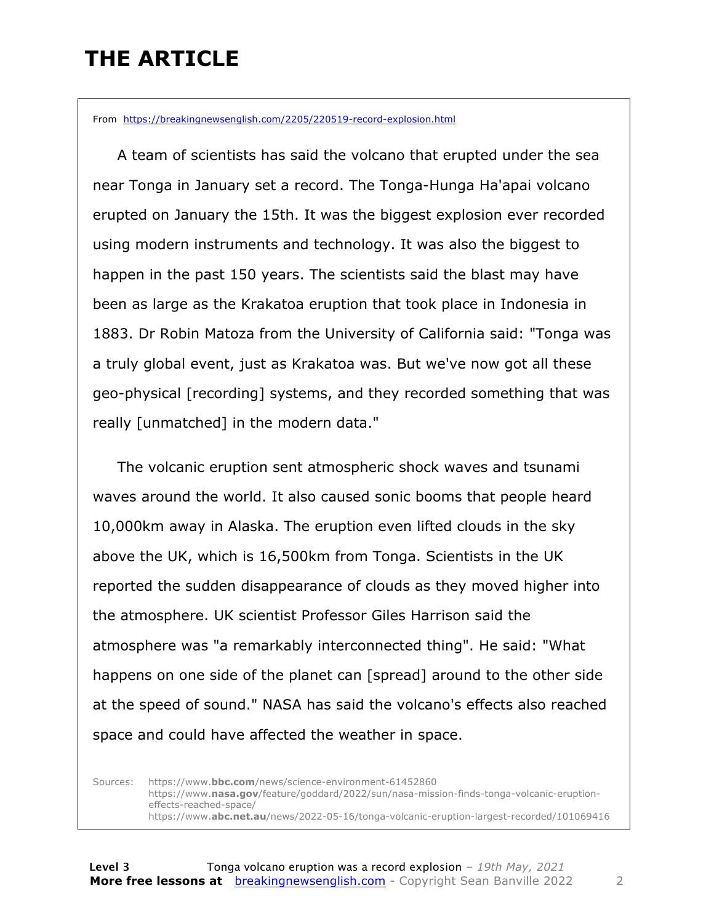### **THE ARTICLE**

From https://breakingnewsenglish.com/2205/220519-record-explosion.html

 A team of scientists has said the volcano that erupted under the sea near Tonga in January set a record. The Tonga-Hunga Ha'apai volcano erupted on January the 15th. It was the biggest explosion ever recorded using modern instruments and technology. It was also the biggest to happen in the past 150 years. The scientists said the blast may have been as large as the Krakatoa eruption that took place in Indonesia in 1883. Dr Robin Matoza from the University of California said: "Tonga was a truly global event, just as Krakatoa was. But we've now got all these geo-physical [recording] systems, and they recorded something that was really [unmatched] in the modern data."

 The volcanic eruption sent atmospheric shock waves and tsunami waves around the world. It also caused sonic booms that people heard 10,000km away in Alaska. The eruption even lifted clouds in the sky above the UK, which is 16,500km from Tonga. Scientists in the UK reported the sudden disappearance of clouds as they moved higher into the atmosphere. UK scientist Professor Giles Harrison said the atmosphere was "a remarkably interconnected thing". He said: "What happens on one side of the planet can [spread] around to the other side at the speed of sound." NASA has said the volcano's effects also reached space and could have affected the weather in space.

Sources: https://www.**bbc.com**/news/science-environment-61452860 https://www.**nasa.gov**/feature/goddard/2022/sun/nasa-mission-finds-tonga-volcanic-eruptioneffects-reached-space/ https://www.**abc.net.au**/news/2022-05-16/tonga-volcanic-eruption-largest-recorded/101069416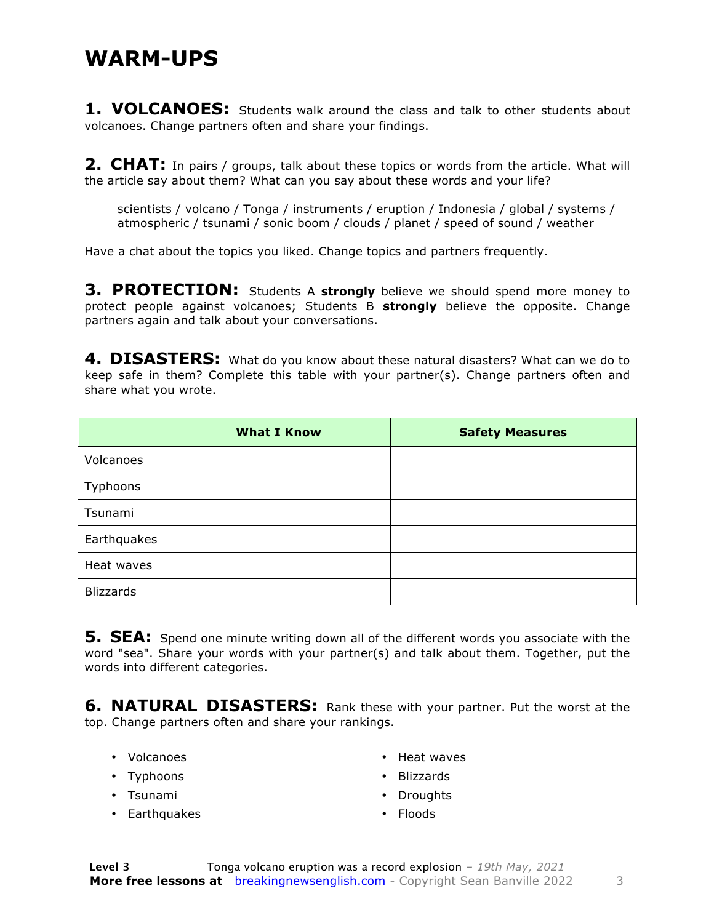#### **WARM-UPS**

**1. VOLCANOES:** Students walk around the class and talk to other students about volcanoes. Change partners often and share your findings.

**2. CHAT:** In pairs / groups, talk about these topics or words from the article. What will the article say about them? What can you say about these words and your life?

scientists / volcano / Tonga / instruments / eruption / Indonesia / global / systems / atmospheric / tsunami / sonic boom / clouds / planet / speed of sound / weather

Have a chat about the topics you liked. Change topics and partners frequently.

**3. PROTECTION:** Students A **strongly** believe we should spend more money to protect people against volcanoes; Students B **strongly** believe the opposite. Change partners again and talk about your conversations.

**4. DISASTERS:** What do you know about these natural disasters? What can we do to keep safe in them? Complete this table with your partner(s). Change partners often and share what you wrote.

|                  | <b>What I Know</b> | <b>Safety Measures</b> |
|------------------|--------------------|------------------------|
| Volcanoes        |                    |                        |
| Typhoons         |                    |                        |
| Tsunami          |                    |                        |
| Earthquakes      |                    |                        |
| Heat waves       |                    |                        |
| <b>Blizzards</b> |                    |                        |

**5. SEA:** Spend one minute writing down all of the different words you associate with the word "sea". Share your words with your partner(s) and talk about them. Together, put the words into different categories.

**6. NATURAL DISASTERS:** Rank these with your partner. Put the worst at the top. Change partners often and share your rankings.

- Volcanoes
- Typhoons
- Tsunami
- Earthquakes
- Heat waves
- Blizzards
- Droughts
- Floods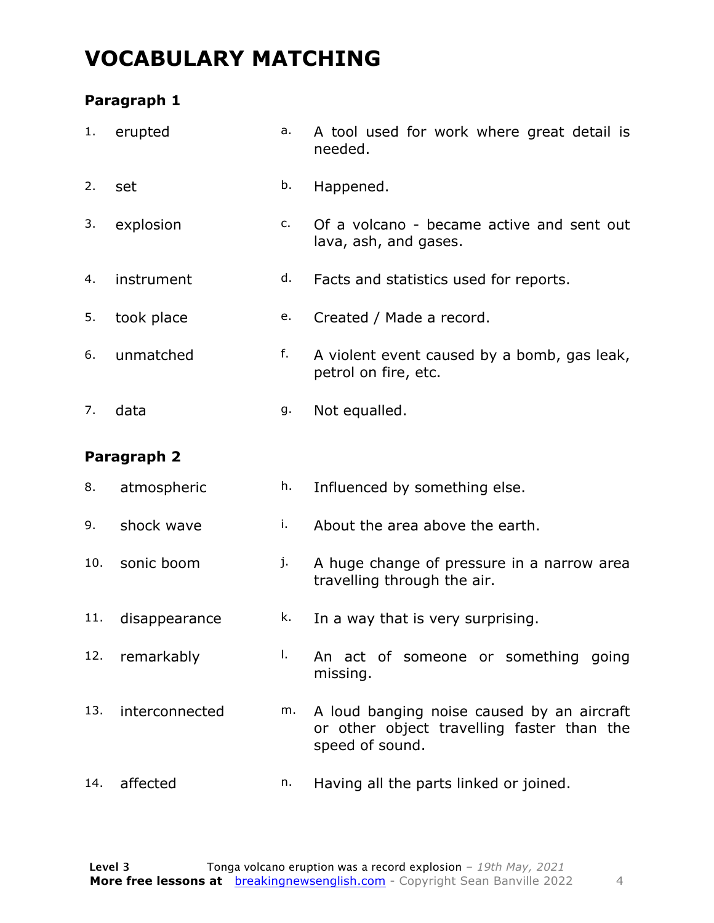### **VOCABULARY MATCHING**

#### **Paragraph 1**

| 1.  | erupted        | a. | A tool used for work where great detail is<br>needed.                                                       |
|-----|----------------|----|-------------------------------------------------------------------------------------------------------------|
| 2.  | set            | b. | Happened.                                                                                                   |
| 3.  | explosion      | c. | Of a volcano - became active and sent out<br>lava, ash, and gases.                                          |
| 4.  | instrument     | d. | Facts and statistics used for reports.                                                                      |
| 5.  | took place     | e. | Created / Made a record.                                                                                    |
| 6.  | unmatched      | f. | A violent event caused by a bomb, gas leak,<br>petrol on fire, etc.                                         |
| 7.  | data           | g. | Not equalled.                                                                                               |
|     | Paragraph 2    |    |                                                                                                             |
| 8.  | atmospheric    | h. | Influenced by something else.                                                                               |
| 9.  | shock wave     | i. | About the area above the earth.                                                                             |
| 10. | sonic boom     | j. | A huge change of pressure in a narrow area<br>travelling through the air.                                   |
| 11. |                |    |                                                                                                             |
|     | disappearance  | k. | In a way that is very surprising.                                                                           |
| 12. | remarkably     | T. | An act of someone or something going<br>missing.                                                            |
| 13. | interconnected | m. | A loud banging noise caused by an aircraft<br>or other object travelling faster than the<br>speed of sound. |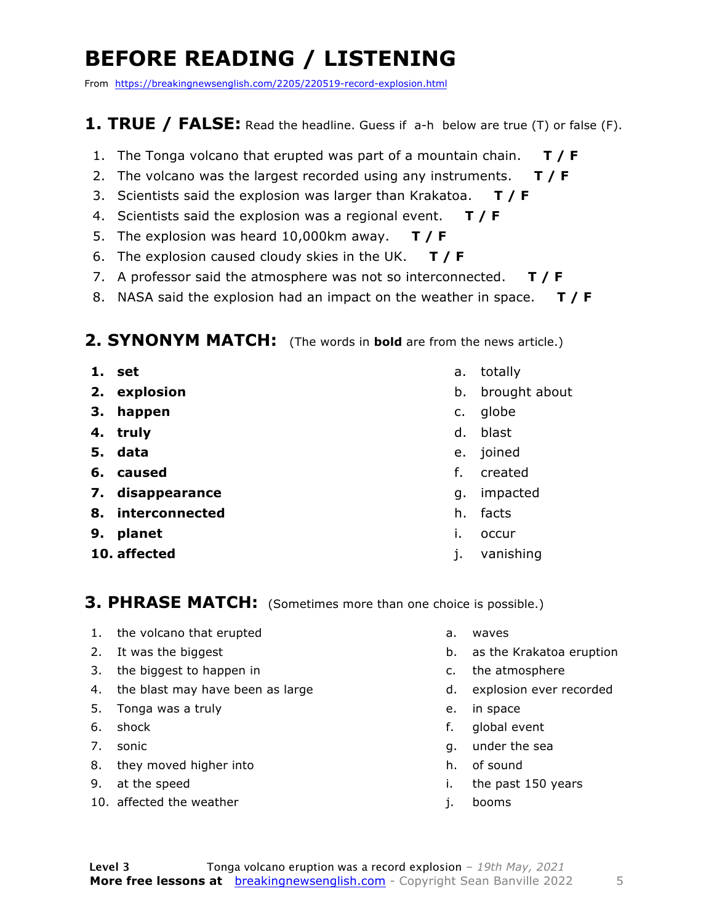### **BEFORE READING / LISTENING**

From https://breakingnewsenglish.com/2205/220519-record-explosion.html

#### **1. TRUE / FALSE:** Read the headline. Guess if a-h below are true (T) or false (F).

- 1. The Tonga volcano that erupted was part of a mountain chain. **T / F**
- 2. The volcano was the largest recorded using any instruments. **T / F**
- 3. Scientists said the explosion was larger than Krakatoa. **T / F**
- 4. Scientists said the explosion was a regional event. **T / F**
- 5. The explosion was heard 10,000km away. **T / F**
- 6. The explosion caused cloudy skies in the UK. **T / F**
- 7. A professor said the atmosphere was not so interconnected. **T / F**
- 8. NASA said the explosion had an impact on the weather in space. **T / F**

#### **2. SYNONYM MATCH:** (The words in **bold** are from the news article.)

- **1. set**
- **2. explosion**
- **3. happen**
- **4. truly**
- **5. data**
- **6. caused**
- **7. disappearance**
- **8. interconnected**
- **9. planet**
- **10. affected**
- a. totally
- b. brought about
- c. globe
- d. blast
- e. joined
- f. created
- g. impacted
- h. facts
- i. occur
- j. vanishing

#### **3. PHRASE MATCH:** (Sometimes more than one choice is possible.)

- 1. the volcano that erupted
- 2. It was the biggest
- 3. the biggest to happen in
- 4. the blast may have been as large
- 5. Tonga was a truly
- 6. shock
- 7. sonic
- 8. they moved higher into
- 9. at the speed
- 10. affected the weather
- a. waves
- b. as the Krakatoa eruption
- c. the atmosphere
- d. explosion ever recorded
- e. in space
- f. global event
- g. under the sea
- h. of sound
- i. the past 150 years
- j. booms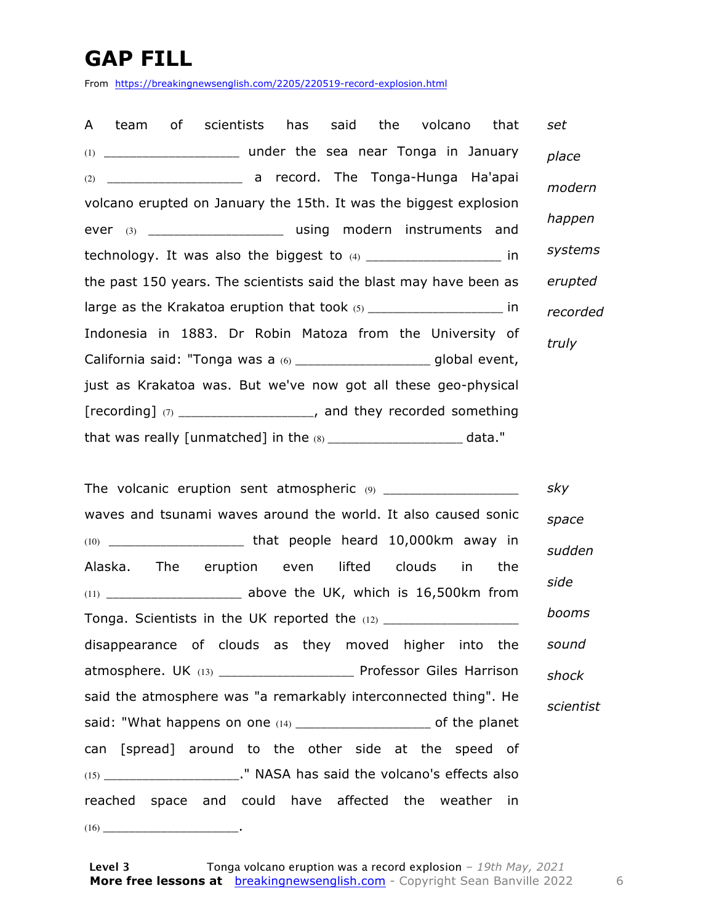### **GAP FILL**

From https://breakingnewsenglish.com/2205/220519-record-explosion.html

|  | A team of scientists has said the volcano                                |  |  | that | set      |
|--|--------------------------------------------------------------------------|--|--|------|----------|
|  |                                                                          |  |  |      | place    |
|  |                                                                          |  |  |      | modern   |
|  | volcano erupted on January the 15th. It was the biggest explosion        |  |  |      |          |
|  | ever (3) ________________________ using modern instruments and           |  |  |      | happen   |
|  | technology. It was also the biggest to $(4)$ _______________________ in  |  |  |      | systems  |
|  | the past 150 years. The scientists said the blast may have been as       |  |  |      | erupted  |
|  | large as the Krakatoa eruption that took (5) ________________________ in |  |  |      | recorded |
|  | Indonesia in 1883. Dr Robin Matoza from the University of                |  |  |      | truly    |
|  | California said: "Tonga was a (6) ______________________global event,    |  |  |      |          |
|  | just as Krakatoa was. But we've now got all these geo-physical           |  |  |      |          |
|  | [recording] $(7)$ _____________________, and they recorded something     |  |  |      |          |
|  |                                                                          |  |  |      |          |

The volcanic eruption sent atmospheric (9) \_\_\_\_\_\_\_\_\_\_\_\_\_\_\_\_\_\_\_\_\_ waves and tsunami waves around the world. It also caused sonic (10) \_\_\_\_\_\_\_\_\_\_\_\_\_\_\_\_\_\_\_\_\_ that people heard 10,000km away in Alaska. The eruption even lifted clouds in the (11) \_\_\_\_\_\_\_\_\_\_\_\_\_\_\_\_\_\_\_\_\_\_\_\_\_\_\_ above the UK, which is 16,500km from Tonga. Scientists in the UK reported the (12) \_\_\_\_\_\_\_\_\_\_\_\_\_\_\_\_\_\_\_\_\_ disappearance of clouds as they moved higher into the atmosphere. UK (13) \_\_\_\_\_\_\_\_\_\_\_\_\_\_\_\_\_\_\_\_\_ Professor Giles Harrison said the atmosphere was "a remarkably interconnected thing". He said: "What happens on one (14) \_\_\_\_\_\_\_\_\_\_\_\_\_\_\_\_\_\_\_\_\_\_\_\_ of the planet can [spread] around to the other side at the speed of (15) \_\_\_\_\_\_\_\_\_\_\_\_\_\_\_\_\_\_\_\_\_." NASA has said the volcano's effects also reached space and could have affected the weather in (16) \_\_\_\_\_\_\_\_\_\_\_\_\_\_\_\_\_\_\_\_\_. *sky space sudden side booms sound shock scientist*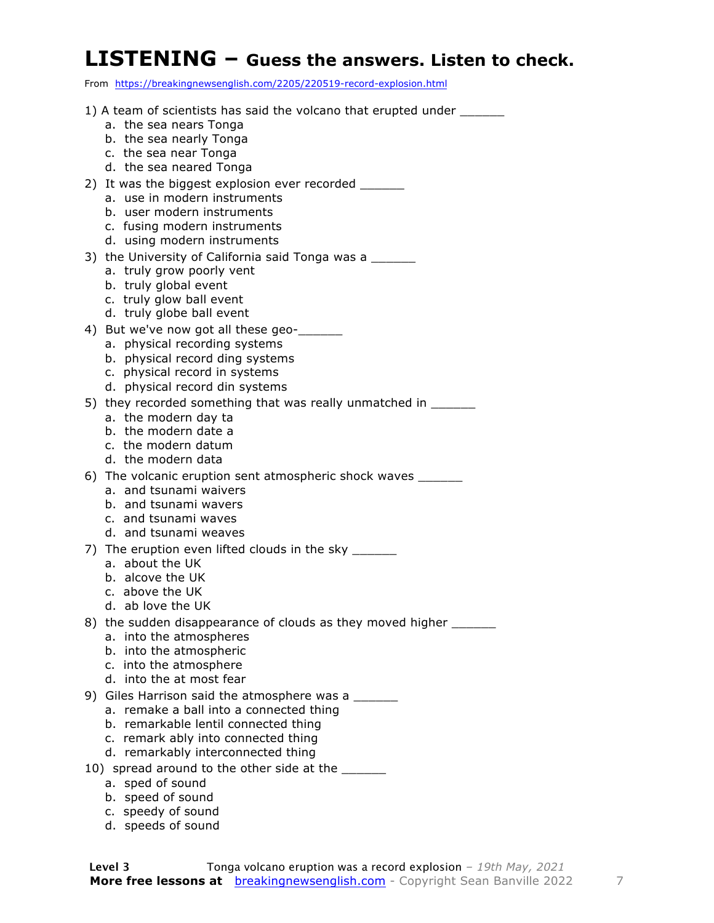#### **LISTENING – Guess the answers. Listen to check.**

| From https://breakingnewsenglish.com/2205/220519-record-explosion.html                                                                                                            |
|-----------------------------------------------------------------------------------------------------------------------------------------------------------------------------------|
| 1) A team of scientists has said the volcano that erupted under ______<br>a. the sea nears Tonga<br>b. the sea nearly Tonga<br>c. the sea near Tonga<br>d. the sea neared Tonga   |
| 2) It was the biggest explosion ever recorded ______<br>a. use in modern instruments<br>b. user modern instruments<br>c. fusing modern instruments<br>d. using modern instruments |
| 3) the University of California said Tonga was a ______<br>a. truly grow poorly vent<br>b. truly global event<br>c. truly glow ball event<br>d. truly globe ball event            |
| 4) But we've now got all these geo-<br>a. physical recording systems<br>b. physical record ding systems<br>c. physical record in systems<br>d. physical record din systems        |
| 5) they recorded something that was really unmatched in _______<br>a. the modern day ta<br>b. the modern date a<br>c. the modern datum<br>d. the modern data                      |
| 6) The volcanic eruption sent atmospheric shock waves ______<br>a. and tsunami waivers<br>b. and tsunami wavers<br>c. and tsunami waves<br>d. and tsunami weaves                  |
| 7) The eruption even lifted clouds in the sky ______<br>a. about the UK<br>b. alcove the UK<br>c. above the UK<br>d. ab love the UK                                               |
| 8) the sudden disappearance of clouds as they moved higher _______<br>a. into the atmospheres<br>b. into the atmospheric<br>c. into the atmosphere<br>d. into the at most fear    |
| 9) Giles Harrison said the atmosphere was a _______<br>a. remake a ball into a connected thing                                                                                    |

- b. remarkable lentil connected thing
- c. remark ably into connected thing
- d. remarkably interconnected thing
- 10) spread around to the other side at the \_\_\_\_\_\_
	- a. sped of sound
	- b. speed of sound
	- c. speedy of sound
	- d. speeds of sound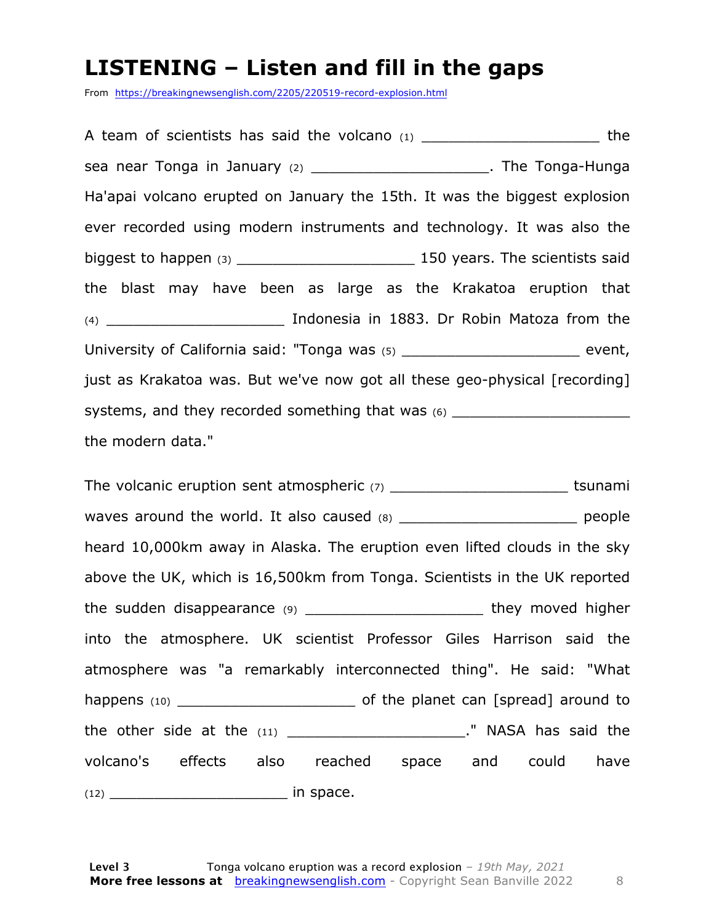#### **LISTENING – Listen and fill in the gaps**

From https://breakingnewsenglish.com/2205/220519-record-explosion.html

A team of scientists has said the volcano  $(1)$  \_\_\_\_\_\_\_\_\_\_\_\_\_\_\_\_\_\_\_\_\_\_\_\_\_\_\_\_\_\_ the sea near Tonga in January (2) \_\_\_\_\_\_\_\_\_\_\_\_\_\_\_\_\_\_\_\_\_\_. The Tonga-Hunga Ha'apai volcano erupted on January the 15th. It was the biggest explosion ever recorded using modern instruments and technology. It was also the biggest to happen (3) \_\_\_\_\_\_\_\_\_\_\_\_\_\_\_\_\_\_\_\_ 150 years. The scientists said the blast may have been as large as the Krakatoa eruption that (4) \_\_\_\_\_\_\_\_\_\_\_\_\_\_\_\_\_\_\_\_ Indonesia in 1883. Dr Robin Matoza from the University of California said: "Tonga was (5) \_\_\_\_\_\_\_\_\_\_\_\_\_\_\_\_\_\_\_\_\_\_\_\_\_\_\_ event, just as Krakatoa was. But we've now got all these geo-physical [recording] systems, and they recorded something that was  $(6)$ the modern data."

The volcanic eruption sent atmospheric  $(7)$  \_\_\_\_\_\_\_\_\_\_\_\_\_\_\_\_\_\_\_\_\_\_\_\_\_\_\_\_\_\_\_\_tsunami waves around the world. It also caused (8) \_\_\_\_\_\_\_\_\_\_\_\_\_\_\_\_\_\_\_\_\_\_\_\_\_ people heard 10,000km away in Alaska. The eruption even lifted clouds in the sky above the UK, which is 16,500km from Tonga. Scientists in the UK reported the sudden disappearance (9) \_\_\_\_\_\_\_\_\_\_\_\_\_\_\_\_\_\_\_\_\_\_\_\_\_\_ they moved higher into the atmosphere. UK scientist Professor Giles Harrison said the atmosphere was "a remarkably interconnected thing". He said: "What happens (10) \_\_\_\_\_\_\_\_\_\_\_\_\_\_\_\_\_\_\_\_ of the planet can [spread] around to the other side at the (11) \_\_\_\_\_\_\_\_\_\_\_\_\_\_\_\_\_\_\_\_\_\_\_\_\_." NASA has said the volcano's effects also reached space and could have (12) \_\_\_\_\_\_\_\_\_\_\_\_\_\_\_\_\_\_\_\_ in space.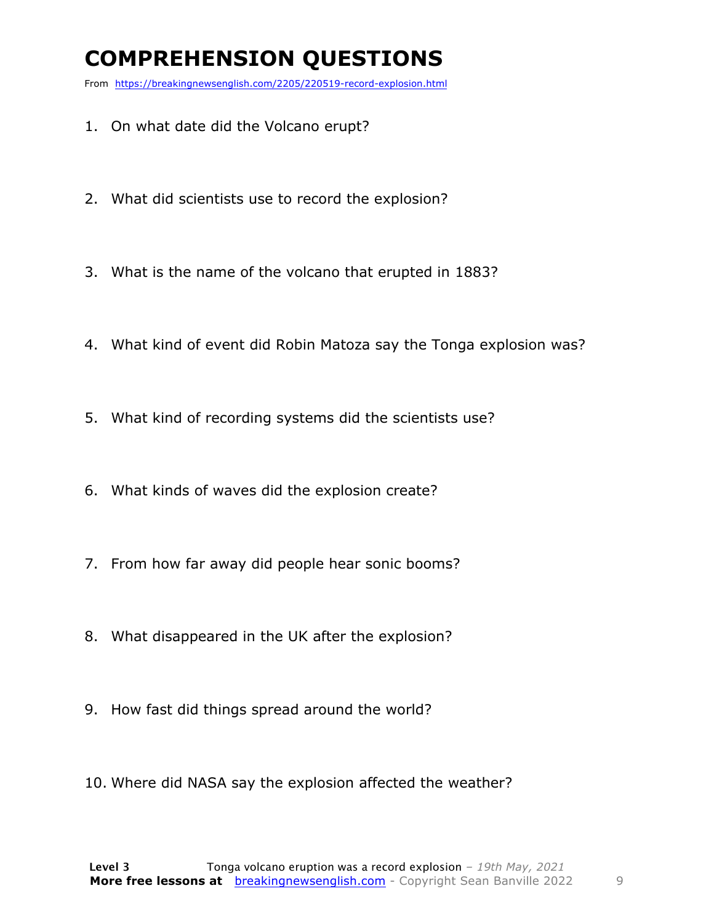### **COMPREHENSION QUESTIONS**

From https://breakingnewsenglish.com/2205/220519-record-explosion.html

- 1. On what date did the Volcano erupt?
- 2. What did scientists use to record the explosion?
- 3. What is the name of the volcano that erupted in 1883?
- 4. What kind of event did Robin Matoza say the Tonga explosion was?
- 5. What kind of recording systems did the scientists use?
- 6. What kinds of waves did the explosion create?
- 7. From how far away did people hear sonic booms?
- 8. What disappeared in the UK after the explosion?
- 9. How fast did things spread around the world?
- 10. Where did NASA say the explosion affected the weather?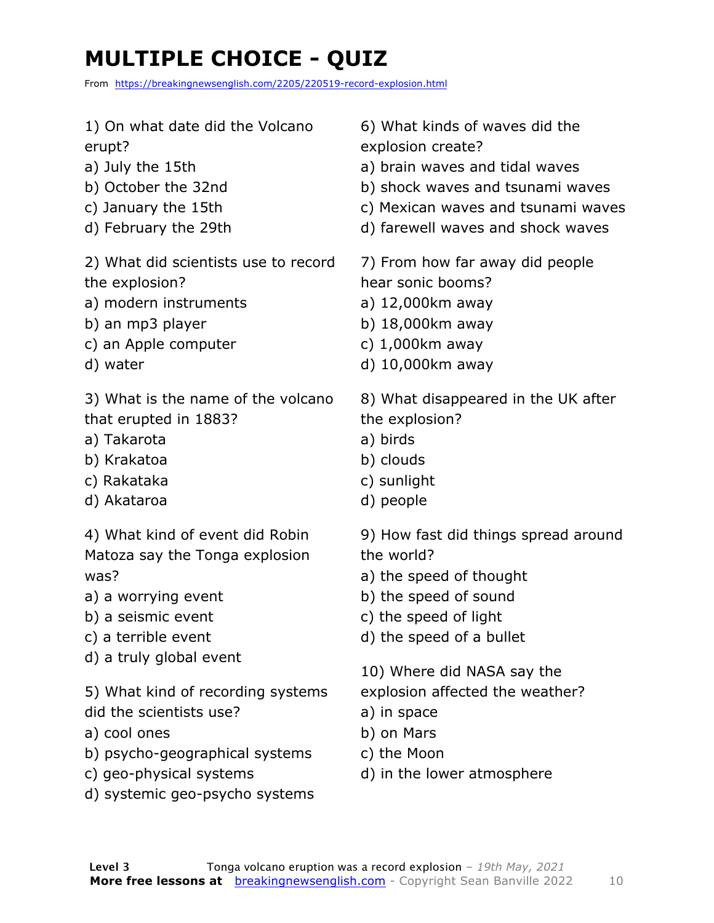### **MULTIPLE CHOICE - QUIZ**

From https://breakingnewsenglish.com/2205/220519-record-explosion.html

1) On what date did the Volcano erupt? a) July the 15th b) October the 32nd c) January the 15th d) February the 29th 2) What did scientists use to record the explosion? a) modern instruments b) an mp3 player c) an Apple computer d) water 3) What is the name of the volcano that erupted in 1883? a) Takarota b) Krakatoa c) Rakataka d) Akataroa 4) What kind of event did Robin Matoza say the Tonga explosion was? a) a worrying event b) a seismic event c) a terrible event d) a truly global event 5) What kind of recording systems did the scientists use? a) cool ones b) psycho-geographical systems c) geo-physical systems d) systemic geo-psycho systems 6) What kinds of waves did the explosion create? a) brain waves and tidal waves b) shock waves and tsunami waves c) Mexican waves and tsunami waves d) farewell waves and shock waves 7) From how far away did people hear sonic booms? a) 12,000km away b) 18,000km away c) 1,000km away d) 10,000km away 8) What disappeared in the UK after the explosion? a) birds b) clouds c) sunlight d) people 9) How fast did things spread around the world? a) the speed of thought b) the speed of sound c) the speed of light d) the speed of a bullet 10) Where did NASA say the explosion affected the weather? a) in space b) on Mars c) the Moon d) in the lower atmosphere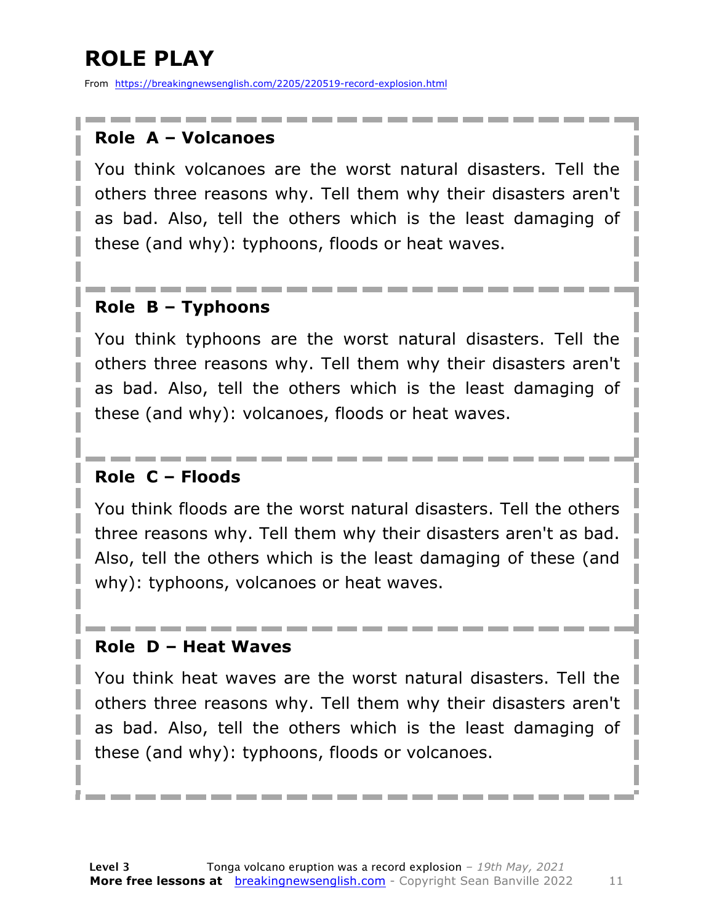### **ROLE PLAY**

From https://breakingnewsenglish.com/2205/220519-record-explosion.html

#### **Role A – Volcanoes**

You think volcanoes are the worst natural disasters. Tell the others three reasons why. Tell them why their disasters aren't as bad. Also, tell the others which is the least damaging of these (and why): typhoons, floods or heat waves.

#### **Role B – Typhoons**

You think typhoons are the worst natural disasters. Tell the others three reasons why. Tell them why their disasters aren't as bad. Also, tell the others which is the least damaging of these (and why): volcanoes, floods or heat waves.

#### **Role C – Floods**

You think floods are the worst natural disasters. Tell the others three reasons why. Tell them why their disasters aren't as bad. Also, tell the others which is the least damaging of these (and why): typhoons, volcanoes or heat waves.

#### **Role D – Heat Waves**

You think heat waves are the worst natural disasters. Tell the others three reasons why. Tell them why their disasters aren't as bad. Also, tell the others which is the least damaging of these (and why): typhoons, floods or volcanoes.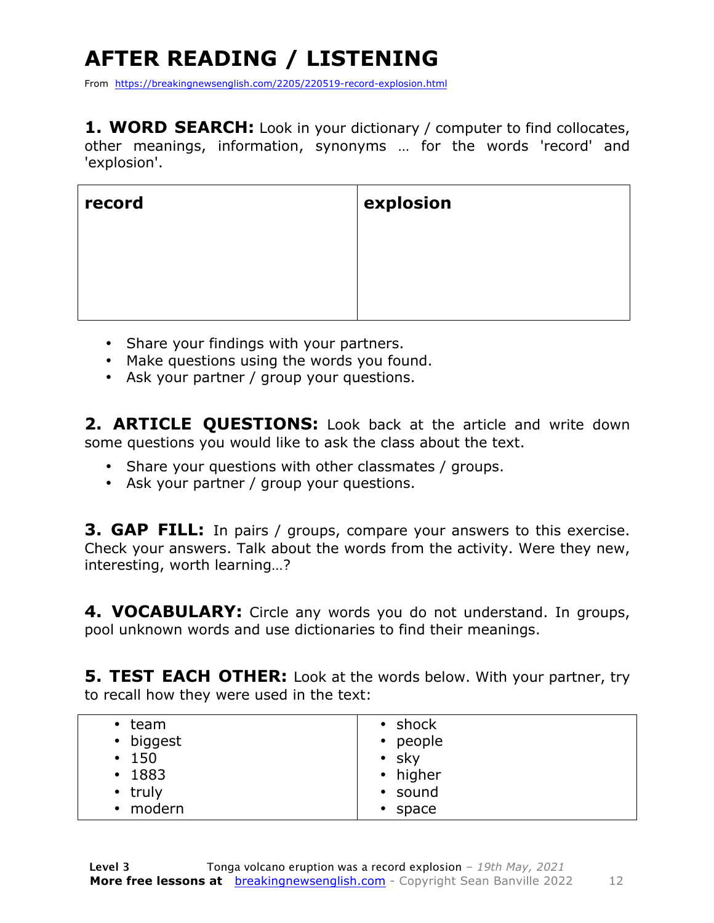## **AFTER READING / LISTENING**

From https://breakingnewsenglish.com/2205/220519-record-explosion.html

**1. WORD SEARCH:** Look in your dictionary / computer to find collocates, other meanings, information, synonyms … for the words 'record' and 'explosion'.

| record | explosion |
|--------|-----------|
|        |           |
|        |           |
|        |           |

- Share your findings with your partners.
- Make questions using the words you found.
- Ask your partner / group your questions.

**2. ARTICLE QUESTIONS:** Look back at the article and write down some questions you would like to ask the class about the text.

- Share your questions with other classmates / groups.
- Ask your partner / group your questions.

**3. GAP FILL:** In pairs / groups, compare your answers to this exercise. Check your answers. Talk about the words from the activity. Were they new, interesting, worth learning…?

**4. VOCABULARY:** Circle any words you do not understand. In groups, pool unknown words and use dictionaries to find their meanings.

**5. TEST EACH OTHER:** Look at the words below. With your partner, try to recall how they were used in the text:

| $\cdot$ team  | $\cdot$ shock |
|---------------|---------------|
| • biggest     | • people      |
| • 150         | $\cdot$ sky   |
| $\cdot$ 1883  | • higher      |
| $\cdot$ truly | • sound       |
| • modern      | $\cdot$ space |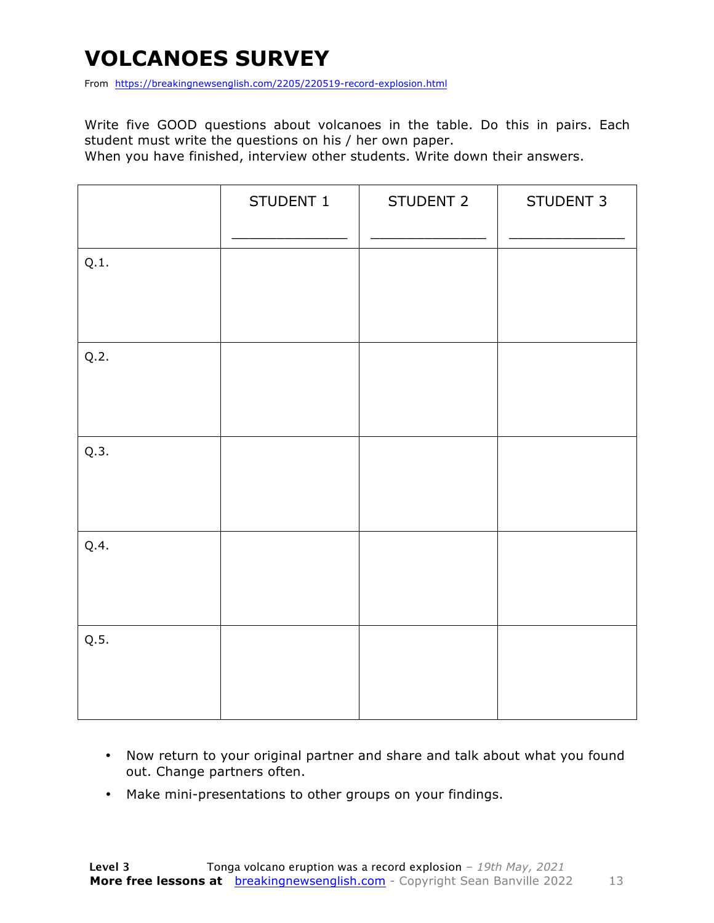### **VOLCANOES SURVEY**

From https://breakingnewsenglish.com/2205/220519-record-explosion.html

Write five GOOD questions about volcanoes in the table. Do this in pairs. Each student must write the questions on his / her own paper.

When you have finished, interview other students. Write down their answers.

|      | STUDENT 1 | STUDENT 2 | STUDENT 3 |
|------|-----------|-----------|-----------|
| Q.1. |           |           |           |
| Q.2. |           |           |           |
| Q.3. |           |           |           |
| Q.4. |           |           |           |
| Q.5. |           |           |           |

- Now return to your original partner and share and talk about what you found out. Change partners often.
- Make mini-presentations to other groups on your findings.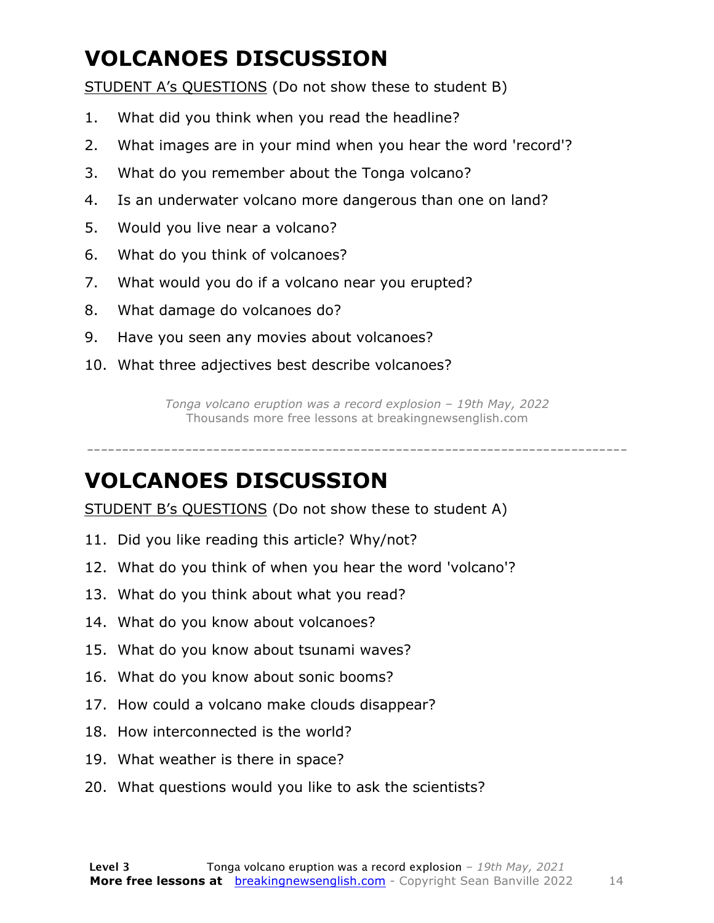### **VOLCANOES DISCUSSION**

STUDENT A's QUESTIONS (Do not show these to student B)

- 1. What did you think when you read the headline?
- 2. What images are in your mind when you hear the word 'record'?
- 3. What do you remember about the Tonga volcano?
- 4. Is an underwater volcano more dangerous than one on land?
- 5. Would you live near a volcano?
- 6. What do you think of volcanoes?
- 7. What would you do if a volcano near you erupted?
- 8. What damage do volcanoes do?
- 9. Have you seen any movies about volcanoes?
- 10. What three adjectives best describe volcanoes?

*Tonga volcano eruption was a record explosion – 19th May, 2022* Thousands more free lessons at breakingnewsenglish.com

-----------------------------------------------------------------------------

#### **VOLCANOES DISCUSSION**

STUDENT B's QUESTIONS (Do not show these to student A)

- 11. Did you like reading this article? Why/not?
- 12. What do you think of when you hear the word 'volcano'?
- 13. What do you think about what you read?
- 14. What do you know about volcanoes?
- 15. What do you know about tsunami waves?
- 16. What do you know about sonic booms?
- 17. How could a volcano make clouds disappear?
- 18. How interconnected is the world?
- 19. What weather is there in space?
- 20. What questions would you like to ask the scientists?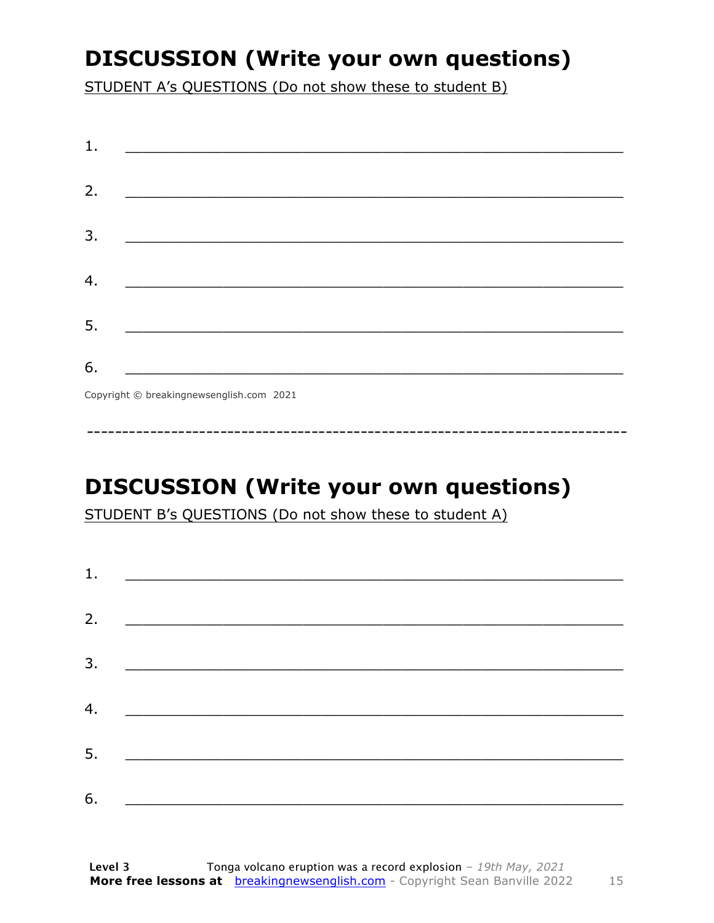### **DISCUSSION (Write your own questions)**

STUDENT A's QUESTIONS (Do not show these to student B)

| 1. |                                          |
|----|------------------------------------------|
|    |                                          |
| 2. |                                          |
|    |                                          |
| 3. |                                          |
|    |                                          |
| 4. |                                          |
|    |                                          |
| 5. |                                          |
|    |                                          |
| 6. |                                          |
|    | Copyright © breakingnewsenglish.com 2021 |

**DISCUSSION (Write your own questions)** 

STUDENT B's QUESTIONS (Do not show these to student A)

| 1. | <u> 1980 - Antonio Alemania, presidente de la contrada de la contrada de la contrada de la contrada de la contrad</u>   |  |
|----|-------------------------------------------------------------------------------------------------------------------------|--|
|    |                                                                                                                         |  |
| 2. | <u> 1989 - Johann Stein, mars an deus Amerikaansk kommunister (</u>                                                     |  |
|    |                                                                                                                         |  |
| 3. | <u> 1989 - Johann Stoff, deutscher Stoffen und der Stoffen und der Stoffen und der Stoffen und der Stoffen und der </u> |  |
|    |                                                                                                                         |  |
| 4. |                                                                                                                         |  |
|    |                                                                                                                         |  |
| 5. |                                                                                                                         |  |
| 6. |                                                                                                                         |  |
|    |                                                                                                                         |  |

15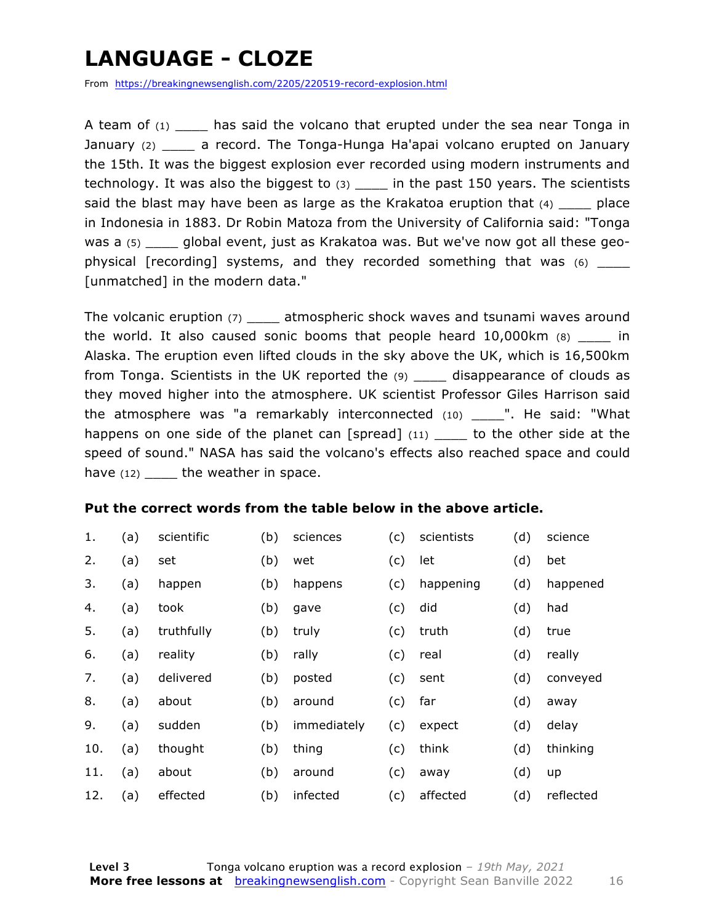### **LANGUAGE - CLOZE**

From https://breakingnewsenglish.com/2205/220519-record-explosion.html

A team of  $(1)$  has said the volcano that erupted under the sea near Tonga in January (2) \_\_\_\_ a record. The Tonga-Hunga Ha'apai volcano erupted on January the 15th. It was the biggest explosion ever recorded using modern instruments and technology. It was also the biggest to  $(3)$  \_\_\_\_ in the past 150 years. The scientists said the blast may have been as large as the Krakatoa eruption that  $(4)$  \_\_\_\_\_ place in Indonesia in 1883. Dr Robin Matoza from the University of California said: "Tonga was a (5) qlobal event, just as Krakatoa was. But we've now got all these geophysical [recording] systems, and they recorded something that was (6) \_\_\_\_\_ [unmatched] in the modern data."

The volcanic eruption (7) \_\_\_\_\_ atmospheric shock waves and tsunami waves around the world. It also caused sonic booms that people heard  $10,000$ km  $(8)$  in Alaska. The eruption even lifted clouds in the sky above the UK, which is 16,500km from Tonga. Scientists in the UK reported the (9) \_\_\_\_ disappearance of clouds as they moved higher into the atmosphere. UK scientist Professor Giles Harrison said the atmosphere was "a remarkably interconnected  $(10)$  ... He said: "What happens on one side of the planet can [spread]  $(11)$  \_\_\_\_ to the other side at the speed of sound." NASA has said the volcano's effects also reached space and could have  $(12)$  the weather in space.

#### **Put the correct words from the table below in the above article.**

| 1.  | (a) | scientific | (b) | sciences    | (c) | scientists | (d) | science   |
|-----|-----|------------|-----|-------------|-----|------------|-----|-----------|
| 2.  | (a) | set        | (b) | wet         | (c) | let        | (d) | bet       |
| 3.  | (a) | happen     | (b) | happens     | (c) | happening  | (d) | happened  |
| 4.  | (a) | took       | (b) | gave        | (c) | did        | (d) | had       |
| 5.  | (a) | truthfully | (b) | truly       | (c) | truth      | (d) | true      |
| 6.  | (a) | reality    | (b) | rally       | (c) | real       | (d) | really    |
| 7.  | (a) | delivered  | (b) | posted      | (c) | sent       | (d) | conveyed  |
| 8.  | (a) | about      | (b) | around      | (c) | far        | (d) | away      |
| 9.  | (a) | sudden     | (b) | immediately | (c) | expect     | (d) | delay     |
| 10. | (a) | thought    | (b) | thing       | (c) | think      | (d) | thinking  |
| 11. | (a) | about      | (b) | around      | (c) | away       | (d) | up        |
| 12. | (a) | effected   | (b) | infected    | (c) | affected   | (d) | reflected |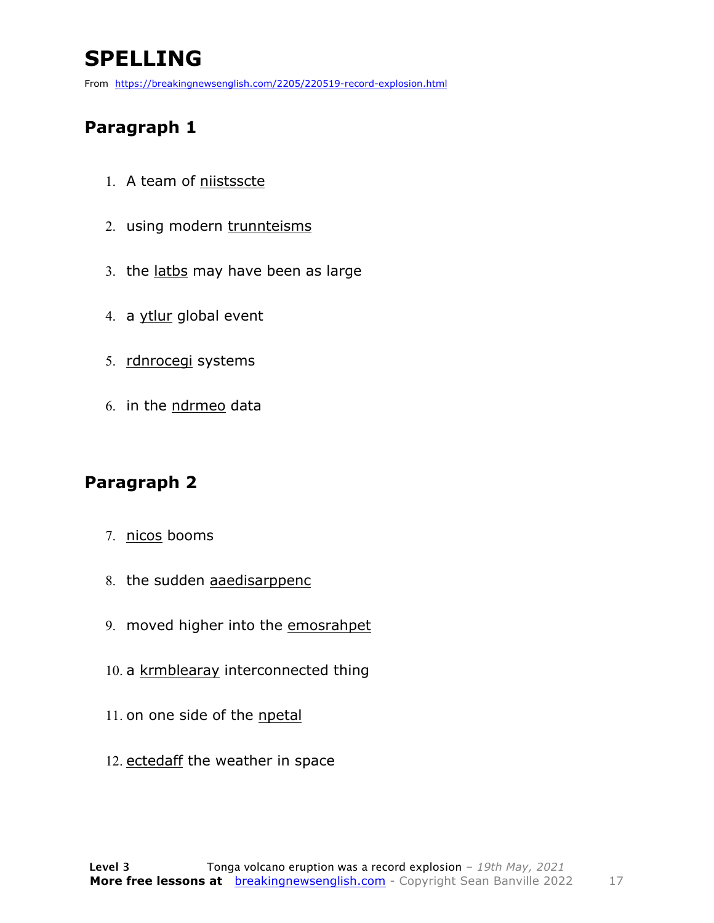### **SPELLING**

From https://breakingnewsenglish.com/2205/220519-record-explosion.html

#### **Paragraph 1**

- 1. A team of niistsscte
- 2. using modern trunnteisms
- 3. the latbs may have been as large
- 4. a ytlur global event
- 5. rdnrocegi systems
- 6. in the ndrmeo data

#### **Paragraph 2**

- 7. nicos booms
- 8. the sudden aaedisarppenc
- 9. moved higher into the emosrahpet
- 10. a krmblearay interconnected thing
- 11. on one side of the npetal
- 12. ectedaff the weather in space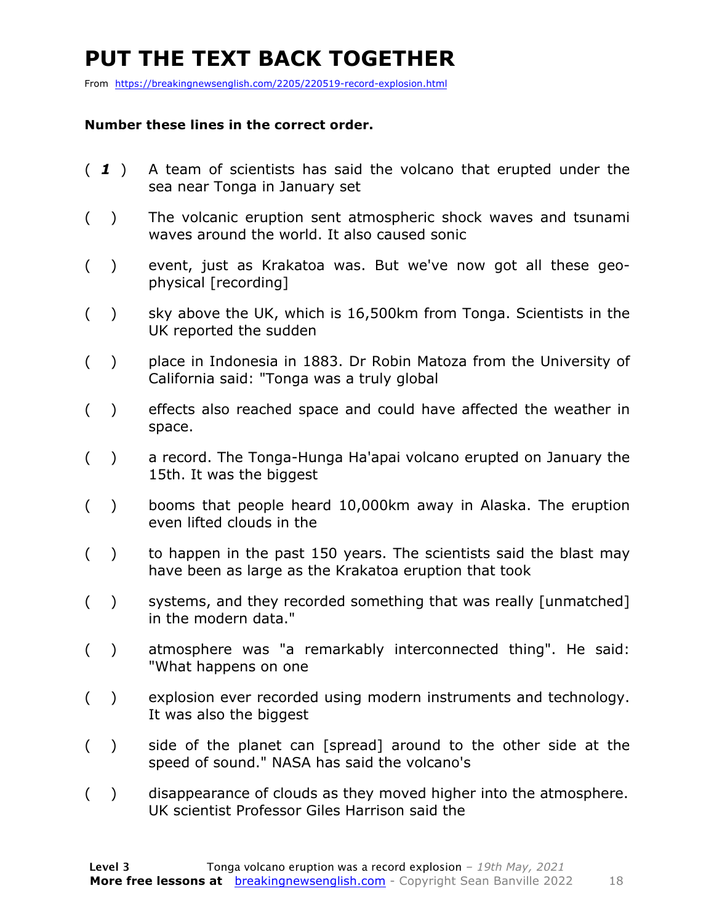### **PUT THE TEXT BACK TOGETHER**

From https://breakingnewsenglish.com/2205/220519-record-explosion.html

#### **Number these lines in the correct order.**

- ( *1* ) A team of scientists has said the volcano that erupted under the sea near Tonga in January set
- ( ) The volcanic eruption sent atmospheric shock waves and tsunami waves around the world. It also caused sonic
- ( ) event, just as Krakatoa was. But we've now got all these geophysical [recording]
- ( ) sky above the UK, which is 16,500km from Tonga. Scientists in the UK reported the sudden
- ( ) place in Indonesia in 1883. Dr Robin Matoza from the University of California said: "Tonga was a truly global
- ( ) effects also reached space and could have affected the weather in space.
- ( ) a record. The Tonga-Hunga Ha'apai volcano erupted on January the 15th. It was the biggest
- ( ) booms that people heard 10,000km away in Alaska. The eruption even lifted clouds in the
- ( ) to happen in the past 150 years. The scientists said the blast may have been as large as the Krakatoa eruption that took
- ( ) systems, and they recorded something that was really [unmatched] in the modern data."
- ( ) atmosphere was "a remarkably interconnected thing". He said: "What happens on one
- ( ) explosion ever recorded using modern instruments and technology. It was also the biggest
- ( ) side of the planet can [spread] around to the other side at the speed of sound." NASA has said the volcano's
- ( ) disappearance of clouds as they moved higher into the atmosphere. UK scientist Professor Giles Harrison said the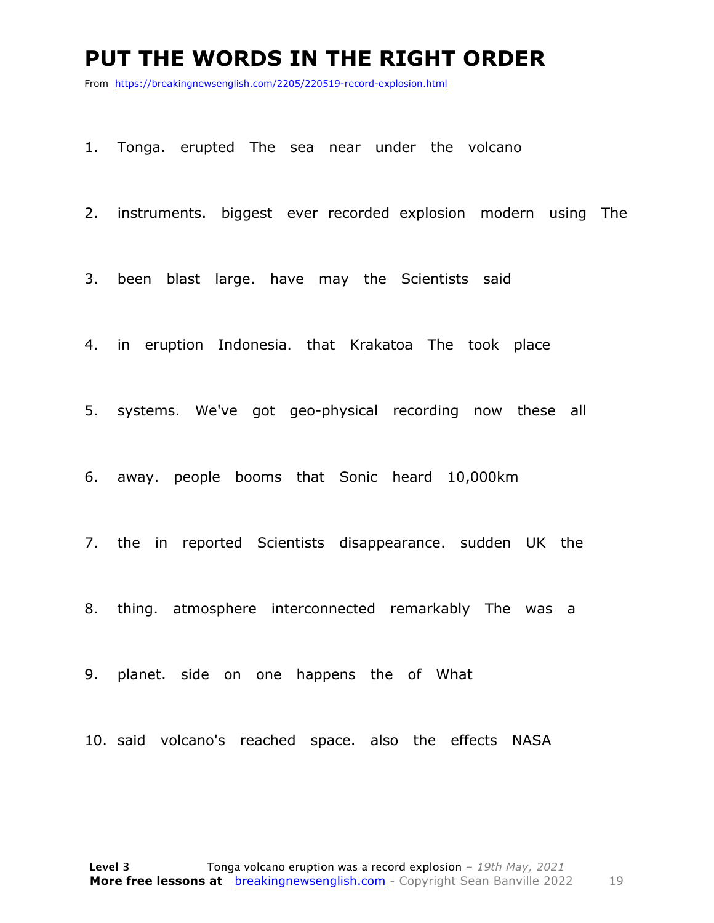#### **PUT THE WORDS IN THE RIGHT ORDER**

From https://breakingnewsenglish.com/2205/220519-record-explosion.html

1. Tonga. erupted The sea near under the volcano

2. instruments. biggest ever recorded explosion modern using The

3. been blast large. have may the Scientists said

4. in eruption Indonesia. that Krakatoa The took place

5. systems. We've got geo-physical recording now these all

6. away. people booms that Sonic heard 10,000km

7. the in reported Scientists disappearance. sudden UK the

8. thing. atmosphere interconnected remarkably The was a

9. planet. side on one happens the of What

10. said volcano's reached space. also the effects NASA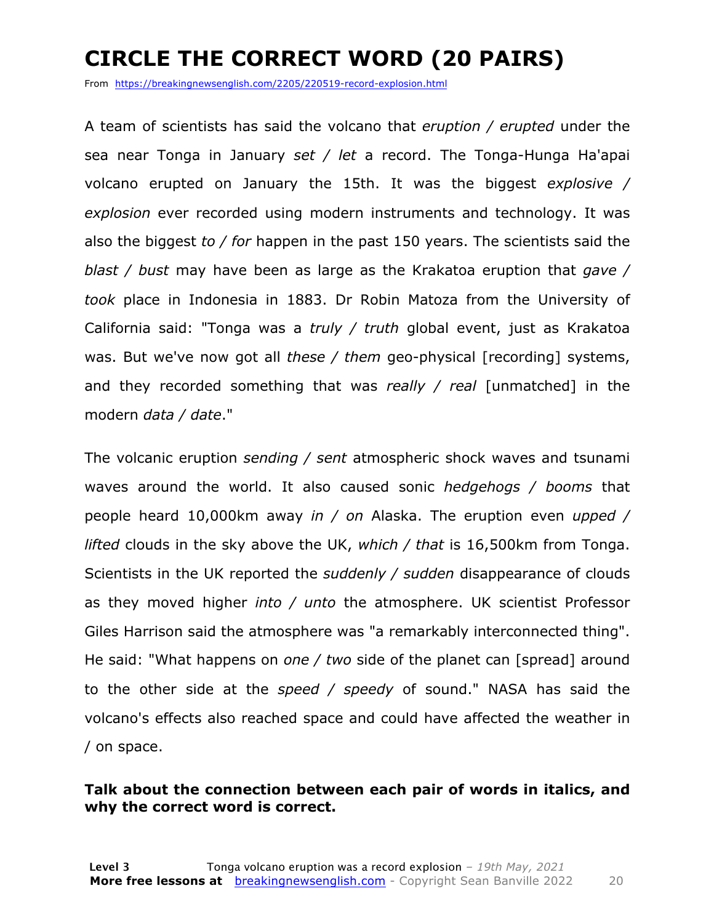### **CIRCLE THE CORRECT WORD (20 PAIRS)**

From https://breakingnewsenglish.com/2205/220519-record-explosion.html

A team of scientists has said the volcano that *eruption / erupted* under the sea near Tonga in January *set / let* a record. The Tonga-Hunga Ha'apai volcano erupted on January the 15th. It was the biggest *explosive / explosion* ever recorded using modern instruments and technology. It was also the biggest *to / for* happen in the past 150 years. The scientists said the *blast / bust* may have been as large as the Krakatoa eruption that *gave / took* place in Indonesia in 1883. Dr Robin Matoza from the University of California said: "Tonga was a *truly / truth* global event, just as Krakatoa was. But we've now got all *these / them* geo-physical [recording] systems, and they recorded something that was *really / real* [unmatched] in the modern *data / date*."

The volcanic eruption *sending / sent* atmospheric shock waves and tsunami waves around the world. It also caused sonic *hedgehogs / booms* that people heard 10,000km away *in / on* Alaska. The eruption even *upped / lifted* clouds in the sky above the UK, *which / that* is 16,500km from Tonga. Scientists in the UK reported the *suddenly / sudden* disappearance of clouds as they moved higher *into / unto* the atmosphere. UK scientist Professor Giles Harrison said the atmosphere was "a remarkably interconnected thing". He said: "What happens on *one / two* side of the planet can [spread] around to the other side at the *speed / speedy* of sound." NASA has said the volcano's effects also reached space and could have affected the weather in / on space.

#### **Talk about the connection between each pair of words in italics, and why the correct word is correct.**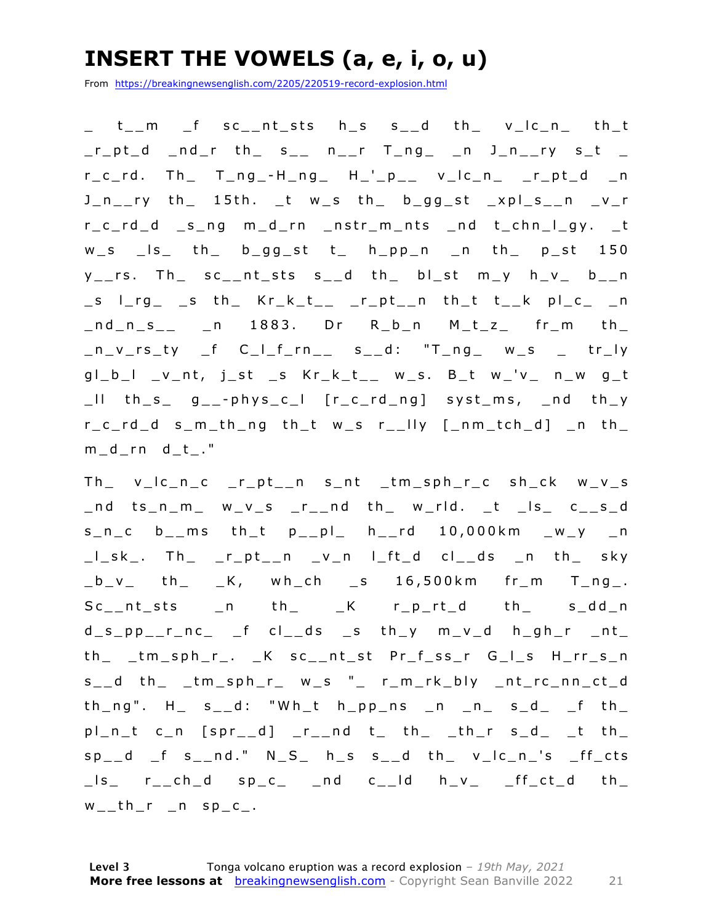### **INSERT THE VOWELS (a, e, i, o, u)**

From https://breakingnewsenglish.com/2205/220519-record-explosion.html

\_ t\_\_m \_f sc\_\_nt\_sts h\_s s\_\_d th\_ v\_lc\_n\_ th\_t \_r\_pt\_d \_nd\_r th\_ s\_\_ n\_\_r T\_ng\_ \_n J\_n\_\_ry s\_t \_  $r_c_r$ d. Th $r_c$  T $_n$ ng $-$ -H $_n$ ng $r_c$  H $-$ ' $n_c$  $r_c$  v $-$ lc $-$ n $-$ r $-$ pt $-$ d  $-$ n J\_n\_\_ry th\_ 15th. \_t w\_s th\_ b\_gg\_st \_xpl\_s\_\_n \_v\_r r\_c\_rd\_d \_s\_ng m\_d\_rn \_nstr\_m\_nts \_nd t\_chn\_l\_gy. \_t w\_s \_ls\_ th\_ b\_gg\_st t\_ h\_pp\_n \_n th\_ p\_st 150 y\_\_rs. Th\_ sc\_\_nt\_sts s\_\_d th\_ bl\_st m\_y h\_v\_ b\_\_n  $\Box$ s l\_rg\_  $\Box$ s th\_ Kr\_k\_t\_\_ \_r\_pt\_\_n th\_t t\_\_k pl\_c\_ \_n  $\_nd\_n\_s\_$   $\_n$  1883. Dr R $\_b\_n$  M $\_t\_z\_$  fr $\_m$  th $\_$  $n_v$ rs\_ty \_f C\_I\_f\_rn\_\_ s\_\_d: "T\_ng\_ w\_s \_ tr\_ly  $gl_b_l$  \_v\_nt, j\_st \_s Kr\_k\_t\_\_ w\_s. B\_t w\_'v\_ n\_w g\_t  $\lfloor$ ll th\_s\_ g\_\_-phys\_c\_l  $[r_c_r]$ ng] syst\_ms, \_nd th\_y r\_c\_rd\_d s\_m\_th\_ng th\_t w\_s r\_\_lly [\_nm\_tch\_d] \_n th\_ m\_d\_rn d\_t\_."

Th\_ v\_lc\_n\_c \_r\_pt\_\_n s\_nt \_tm\_sph\_r\_c sh\_ck w\_v\_s \_nd ts\_n\_m\_ w\_v\_s \_r\_\_nd th\_ w\_rld. \_t \_ls\_ c\_\_s\_d  $s_n c$  b\_\_ms th\_t  $p_{p}$ | h\_\_rd 10,000km \_w\_y \_n \_l\_sk\_. Th\_ \_r\_pt\_\_n \_ v\_n l\_ft\_d cl\_\_ds \_n th\_ sky  $_b_v - v$  th  $_K$ , wh\_ch s 16,500km fr\_m T\_ng\_.  $Sc_{\_\_}$ nt\_sts  $\_n$  th $\_$   $\_K$  r $\_p_{\_\_}rd$  th $\_$  s $\_dd_{\_}n$  $d_s$ \_pp\_\_r\_nc\_ \_f cl\_\_ds \_s th\_y m\_v\_d h\_gh\_r \_nt\_ th\_ \_tm\_sph\_r\_. \_K sc\_\_nt\_st Pr\_f\_ss\_r G\_l\_s H\_rr\_s\_n s \_ \_d th\_ \_tm\_sph\_r\_ w\_s "\_ r\_m\_rk\_bly \_nt\_rc\_nn\_ct\_d  $th_ng''$ . H  $s_1/d$ : "Wh\_t  $h_npp_ns$  n  $n_s$   $s_d$  f th  $pl\_n\_t$  c\_n  $[spr\_d]$   $_r\_nd$  t\_ th\_  $_th\_r$  s\_d\_  $_t$  th\_  $sp-d$   $f$  s<sub>\_\_</sub>nd."  $N_S$  h\_s s\_\_d th\_ v\_lc\_n\_'s  $ff_c$ cts  $\Box$ ls\_ r $\Box$ ch $\Box$ d sp $\Box$ c $\Box$ nd c $\Box$ ld h $\Box$ v $\Box$   $\Box$ f $\Box$ ct $\Box$ d th $\Box$  $w_{-}th_{r}$   $n$  sp<sub>-C\_</sub>.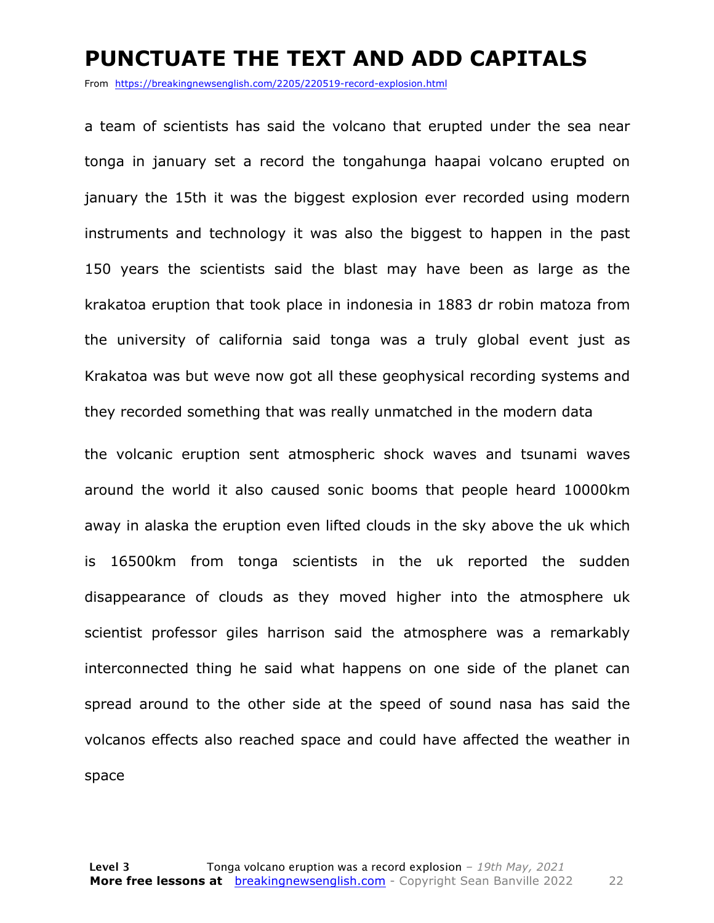#### **PUNCTUATE THE TEXT AND ADD CAPITALS**

From https://breakingnewsenglish.com/2205/220519-record-explosion.html

a team of scientists has said the volcano that erupted under the sea near tonga in january set a record the tongahunga haapai volcano erupted on january the 15th it was the biggest explosion ever recorded using modern instruments and technology it was also the biggest to happen in the past 150 years the scientists said the blast may have been as large as the krakatoa eruption that took place in indonesia in 1883 dr robin matoza from the university of california said tonga was a truly global event just as Krakatoa was but weve now got all these geophysical recording systems and they recorded something that was really unmatched in the modern data

the volcanic eruption sent atmospheric shock waves and tsunami waves around the world it also caused sonic booms that people heard 10000km away in alaska the eruption even lifted clouds in the sky above the uk which is 16500km from tonga scientists in the uk reported the sudden disappearance of clouds as they moved higher into the atmosphere uk scientist professor giles harrison said the atmosphere was a remarkably interconnected thing he said what happens on one side of the planet can spread around to the other side at the speed of sound nasa has said the volcanos effects also reached space and could have affected the weather in space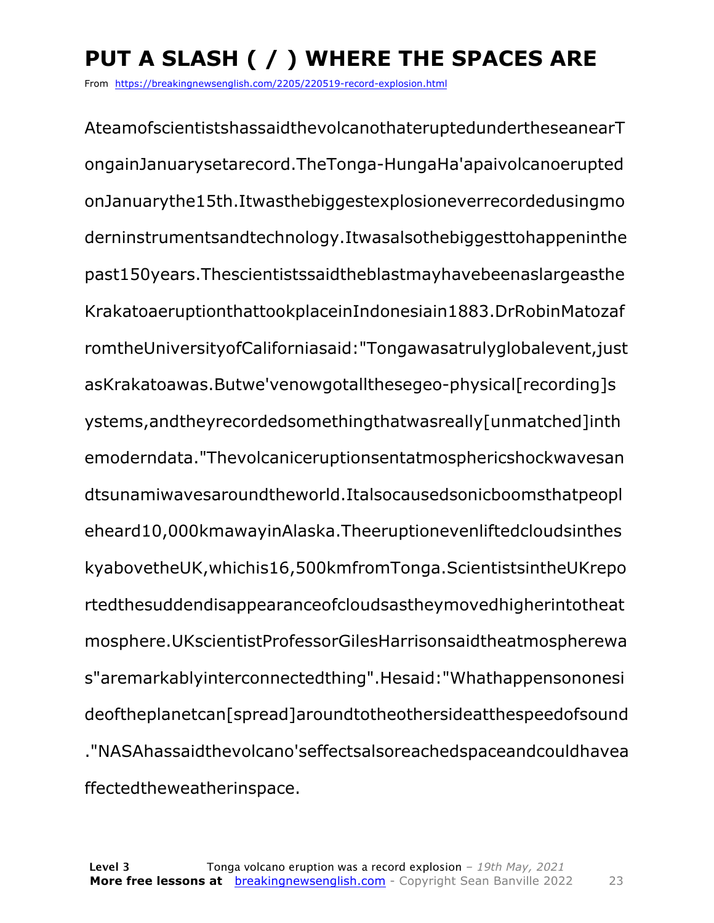### **PUT A SLASH ( / ) WHERE THE SPACES ARE**

From https://breakingnewsenglish.com/2205/220519-record-explosion.html

AteamofscientistshassaidthevolcanothateruptedundertheseanearT ongainJanuarysetarecord.TheTonga-HungaHa'apaivolcanoerupted onJanuarythe15th.Itwasthebiggestexplosioneverrecordedusingmo derninstrumentsandtechnology.Itwasalsothebiggesttohappeninthe past150years.Thescientistssaidtheblastmayhavebeenaslargeasthe KrakatoaeruptionthattookplaceinIndonesiain1883.DrRobinMatozaf romtheUniversityofCaliforniasaid:"Tongawasatrulyglobalevent,just asKrakatoawas.Butwe'venowgotallthesegeo-physical[recording]s ystems,andtheyrecordedsomethingthatwasreally[unmatched]inth emoderndata."Thevolcaniceruptionsentatmosphericshockwavesan dtsunamiwavesaroundtheworld.Italsocausedsonicboomsthatpeopl eheard10,000kmawayinAlaska.Theeruptionevenliftedcloudsinthes kyabovetheUK,whichis16,500kmfromTonga.ScientistsintheUKrepo rtedthesuddendisappearanceofcloudsastheymovedhigherintotheat mosphere.UKscientistProfessorGilesHarrisonsaidtheatmospherewa s"aremarkablyinterconnectedthing".Hesaid:"Whathappensononesi deoftheplanetcan[spread]aroundtotheothersideatthespeedofsound ."NASAhassaidthevolcano'seffectsalsoreachedspaceandcouldhavea ffectedtheweatherinspace.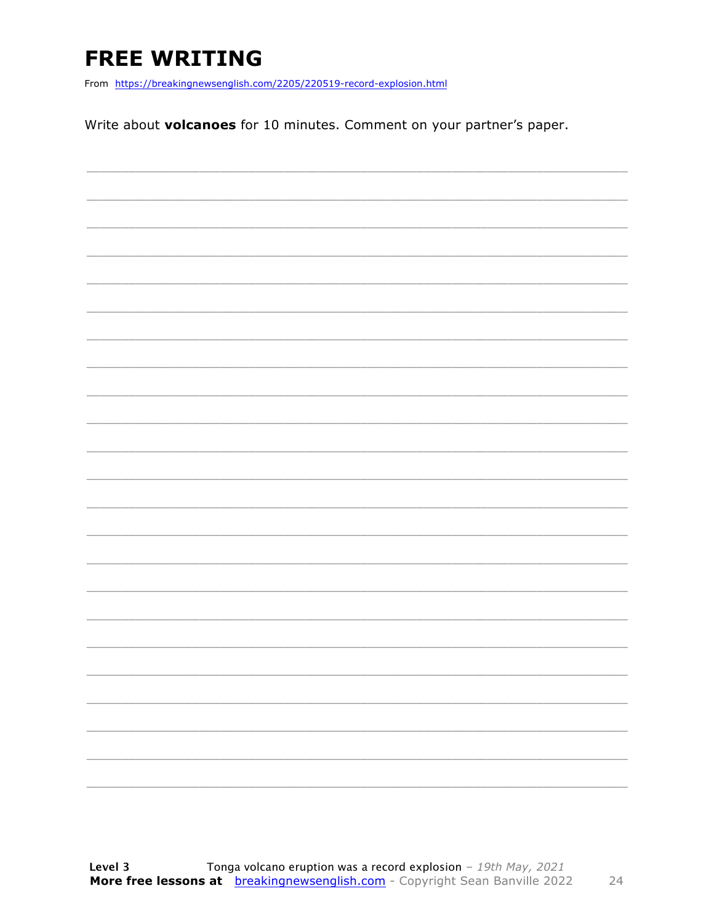### **FREE WRITING**

From https://breakingnewsenglish.com/2205/220519-record-explosion.html

Write about volcanoes for 10 minutes. Comment on your partner's paper.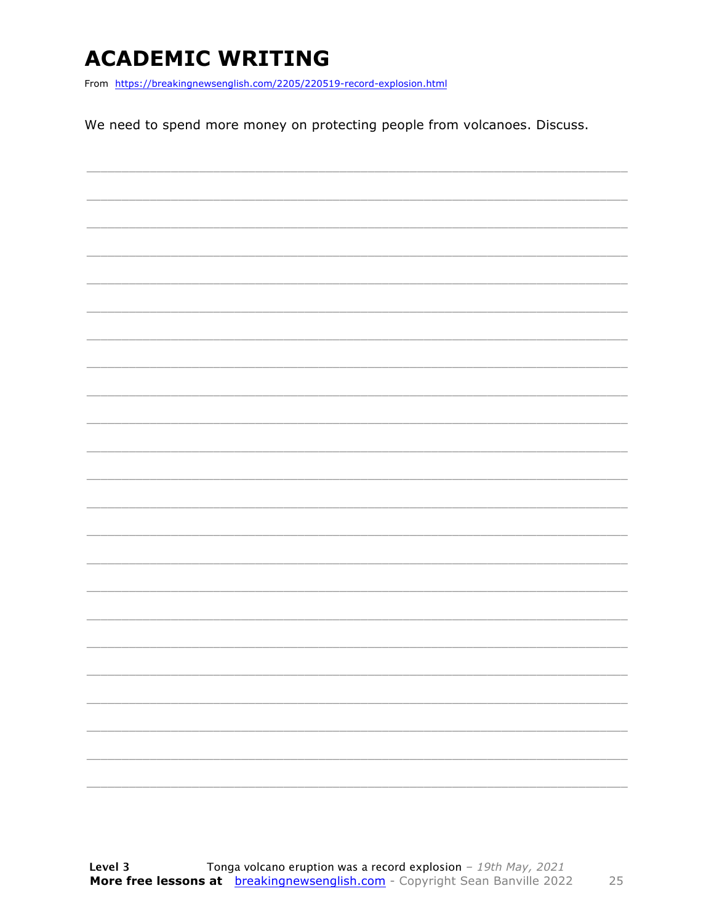### **ACADEMIC WRITING**

From https://breakingnewsenglish.com/2205/220519-record-explosion.html

We need to spend more money on protecting people from volcanoes. Discuss.

|  |  | $\overline{\phantom{0}}$ |
|--|--|--------------------------|
|  |  |                          |
|  |  |                          |
|  |  |                          |
|  |  | -                        |
|  |  |                          |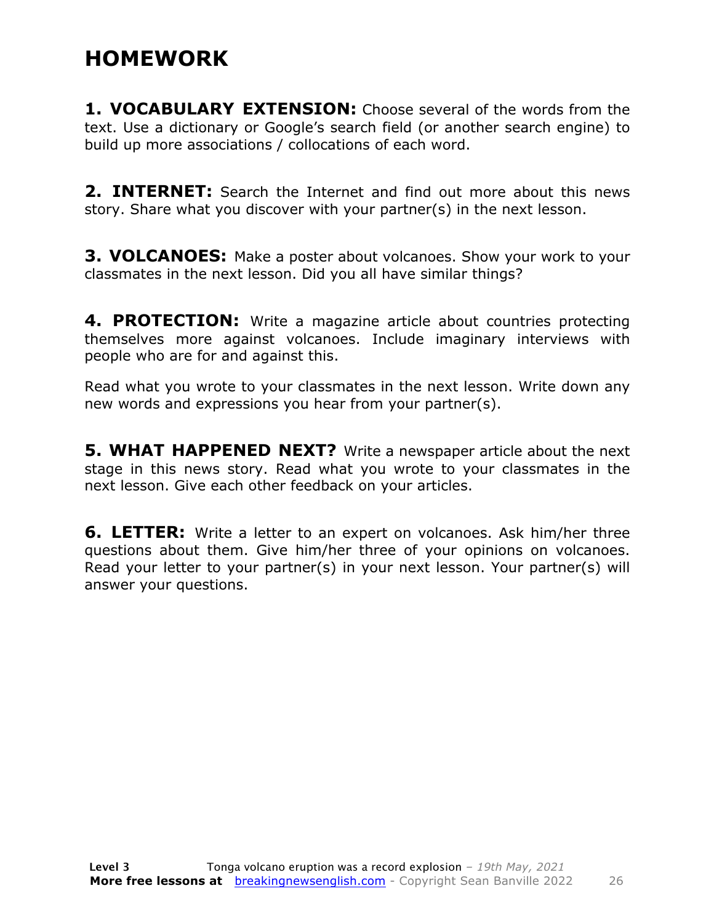#### **HOMEWORK**

**1. VOCABULARY EXTENSION:** Choose several of the words from the text. Use a dictionary or Google's search field (or another search engine) to build up more associations / collocations of each word.

**2. INTERNET:** Search the Internet and find out more about this news story. Share what you discover with your partner(s) in the next lesson.

**3. VOLCANOES:** Make a poster about volcanoes. Show your work to your classmates in the next lesson. Did you all have similar things?

**4. PROTECTION:** Write a magazine article about countries protecting themselves more against volcanoes. Include imaginary interviews with people who are for and against this.

Read what you wrote to your classmates in the next lesson. Write down any new words and expressions you hear from your partner(s).

**5. WHAT HAPPENED NEXT?** Write a newspaper article about the next stage in this news story. Read what you wrote to your classmates in the next lesson. Give each other feedback on your articles.

**6. LETTER:** Write a letter to an expert on volcanoes. Ask him/her three questions about them. Give him/her three of your opinions on volcanoes. Read your letter to your partner(s) in your next lesson. Your partner(s) will answer your questions.